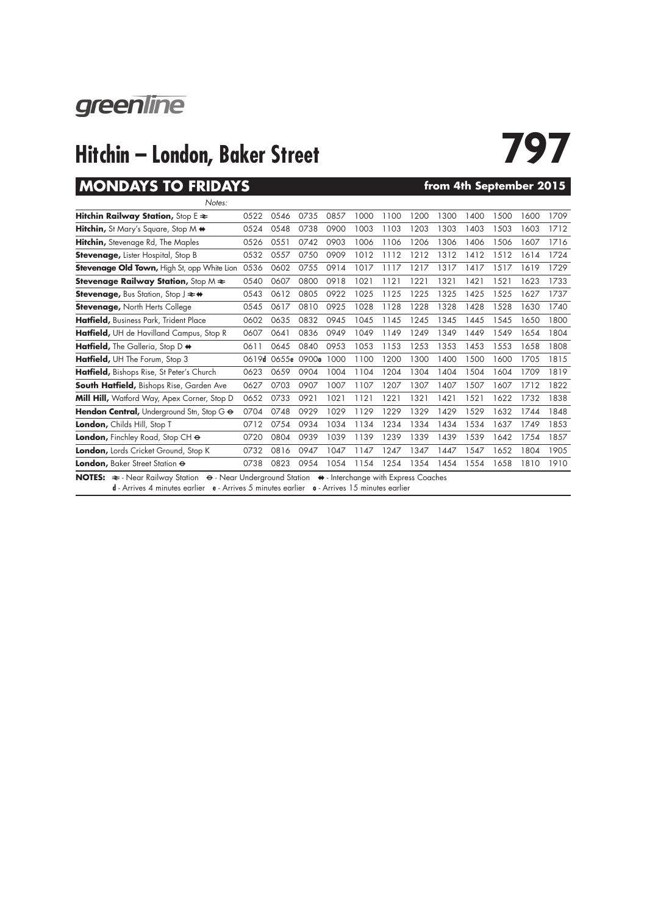

# **Hitchin – London, Baker Street**<br>MONDAYS TO FRIDAYS<br>From 4th September 2015

### **MONDAYS TO FRIDAYS**

| Notes:                                                                                                                                        |       |      |             |      |      |      |      |      |      |      |      |      |
|-----------------------------------------------------------------------------------------------------------------------------------------------|-------|------|-------------|------|------|------|------|------|------|------|------|------|
| Hitchin Railway Station, Stop $E \approx$                                                                                                     | 0522  | 0546 | 0735        | 0857 | 1000 | 1100 | 1200 | 1300 | 1400 | 1500 | 1600 | 1709 |
| <b>Hitchin,</b> St Mary's Square, Stop M $\Leftrightarrow$                                                                                    | 0524  | 0548 | 0738        | 0900 | 1003 | 1103 | 1203 | 1303 | 1403 | 1503 | 1603 | 1712 |
| <b>Hitchin,</b> Stevenage Rd, The Maples                                                                                                      | 0526  | 0551 | 0742        | 0903 | 1006 | 1106 | 1206 | 1306 | 1406 | 1506 | 1607 | 1716 |
| <b>Stevenage, Lister Hospital, Stop B</b>                                                                                                     | 0532  | 0557 | 0750        | 0909 | 1012 | 1112 | 1212 | 1312 | 1412 | 1512 | 1614 | 1724 |
| <b>Stevenage Old Town, High St, opp White Lion</b>                                                                                            | 0536  | 0602 | 0755        | 0914 | 1017 | 1117 | 1217 | 1317 | 1417 | 1517 | 1619 | 1729 |
| <b>Stevenage Railway Station, Stop M <math>\approx</math></b>                                                                                 | 0540  | 0607 | 0800        | 0918 | 1021 | 1121 | 1221 | 1321 | 1421 | 1521 | 1623 | 1733 |
| <b>Stevenage, Bus Station, Stop J <math>\rightleftarrows</math> <math>\leftrightarrow</math></b>                                              | 0543  | 0612 | 0805        | 0922 | 1025 | 1125 | 1225 | 1325 | 1425 | 1525 | 1627 | 1737 |
| <b>Stevenage, North Herts College</b>                                                                                                         | 0545  | 0617 | 0810        | 0925 | 1028 | 1128 | 1228 | 1328 | 1428 | 1528 | 1630 | 1740 |
| Hatfield, Business Park, Trident Place                                                                                                        | 0602  | 0635 | 0832        | 0945 | 1045 | 1145 | 1245 | 1345 | 1445 | 1545 | 1650 | 1800 |
| Hatfield, UH de Havilland Campus, Stop R                                                                                                      | 0607  | 0641 | 0836        | 0949 | 1049 | 1149 | 1249 | 1349 | 1449 | 1549 | 1654 | 1804 |
| Hatfield, The Galleria, Stop D +                                                                                                              | 0611  | 0645 | 0840        | 0953 | 1053 | 1153 | 1253 | 1353 | 1453 | 1553 | 1658 | 1808 |
| Hatfield, UH The Forum, Stop 3                                                                                                                | 0619d |      | 0655e 0900o | 1000 | 1100 | 1200 | 1300 | 1400 | 1500 | 1600 | 1705 | 1815 |
| Hatfield, Bishops Rise, St Peter's Church                                                                                                     | 0623  | 0659 | 0904        | 1004 | 1104 | 1204 | 1304 | 1404 | 1504 | 1604 | 1709 | 1819 |
| South Hatfield, Bishops Rise, Garden Ave                                                                                                      | 0627  | 0703 | 0907        | 1007 | 1107 | 1207 | 1307 | 1407 | 1507 | 1607 | 1712 | 1822 |
| Mill Hill, Watford Way, Apex Corner, Stop D                                                                                                   | 0652  | 0733 | 0921        | 1021 | 1121 | 1221 | 1321 | 1421 | 1521 | 1622 | 1732 | 1838 |
| Hendon Central, Underground Stn, Stop G $\Theta$                                                                                              | 0704  | 0748 | 0929        | 1029 | 1129 | 1229 | 1329 | 1429 | 1529 | 1632 | 1744 | 1848 |
| London, Childs Hill, Stop T                                                                                                                   | 0712  | 0754 | 0934        | 1034 | 1134 | 1234 | 1334 | 1434 | 1534 | 1637 | 1749 | 1853 |
| London, Finchley Road, Stop CH $\Theta$                                                                                                       | 0720  | 0804 | 0939        | 1039 | 1139 | 1239 | 1339 | 1439 | 1539 | 1642 | 1754 | 1857 |
| London, Lords Cricket Ground, Stop K                                                                                                          | 0732  | 0816 | 0947        | 1047 | 1147 | 1247 | 1347 | 1447 | 1547 | 1652 | 1804 | 1905 |
| London, Baker Street Station $\Theta$                                                                                                         | 0738  | 0823 | 0954        | 1054 | 1154 | 1254 | 1354 | 1454 | 1554 | 1658 | 1810 | 1910 |
| NOTES: $\Rightarrow$ - Near Railway Station $\leftrightarrow$ - Near Underground Station $\leftrightarrow$ - Interchange with Express Coaches |       |      |             |      |      |      |      |      |      |      |      |      |

**d** - Arrives 4 minutes earlier **e** - Arrives 5 minutes earlier **o** - Arrives 15 minutes earlier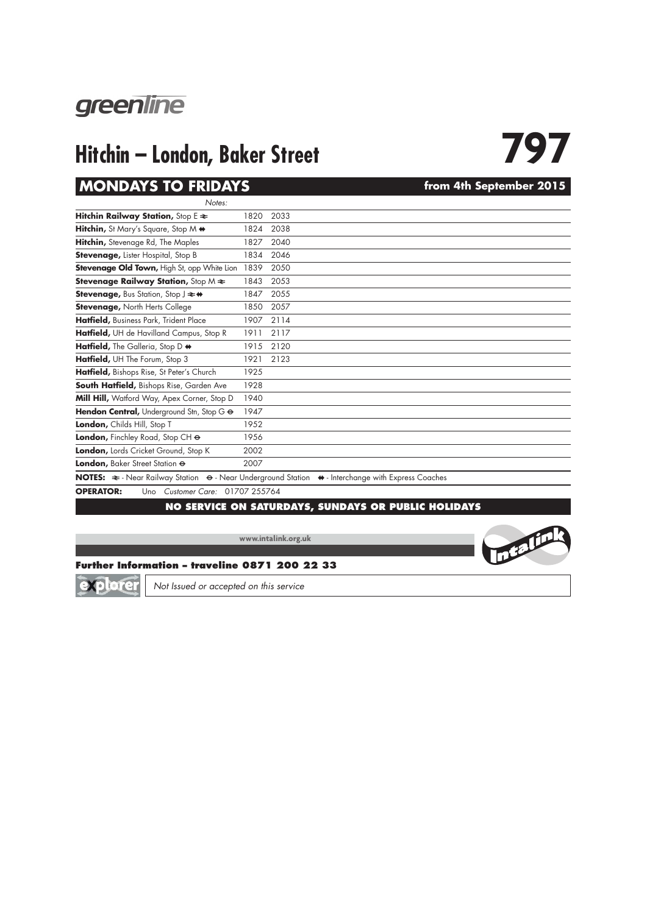

# **Hitchin – London, Baker Street**<br>MONDAYS TO FRIDAYS<br>From 4th September 2015

### **MONDAYS TO FRIDAYS**

| Notes:                                                                                                                                                                                                                                                                                                                                      |      |                                                                                                                                               |  |  |  |  |  |  |
|---------------------------------------------------------------------------------------------------------------------------------------------------------------------------------------------------------------------------------------------------------------------------------------------------------------------------------------------|------|-----------------------------------------------------------------------------------------------------------------------------------------------|--|--|--|--|--|--|
| Hitchin Railway Station, Stop $E \approx$                                                                                                                                                                                                                                                                                                   | 1820 | 2033                                                                                                                                          |  |  |  |  |  |  |
| Hitchin, St Mary's Square, Stop M $\leftrightarrow$                                                                                                                                                                                                                                                                                         | 1824 | 2038                                                                                                                                          |  |  |  |  |  |  |
| Hitchin, Stevenage Rd, The Maples                                                                                                                                                                                                                                                                                                           | 1827 | 2040                                                                                                                                          |  |  |  |  |  |  |
| <b>Stevenage, Lister Hospital, Stop B</b>                                                                                                                                                                                                                                                                                                   | 1834 | 2046                                                                                                                                          |  |  |  |  |  |  |
| Stevenage Old Town, High St, opp White Lion 1839                                                                                                                                                                                                                                                                                            |      | 2050                                                                                                                                          |  |  |  |  |  |  |
| <b>Stevenage Railway Station, Stop M <math>\neq</math></b>                                                                                                                                                                                                                                                                                  | 1843 | 2053                                                                                                                                          |  |  |  |  |  |  |
| <b>Stevenage, Bus Station, Stop J ≥ +</b>                                                                                                                                                                                                                                                                                                   | 1847 | 2055                                                                                                                                          |  |  |  |  |  |  |
| <b>Stevenage, North Herts College</b>                                                                                                                                                                                                                                                                                                       | 1850 | 2057                                                                                                                                          |  |  |  |  |  |  |
| Hatfield, Business Park, Trident Place                                                                                                                                                                                                                                                                                                      | 1907 | 2114                                                                                                                                          |  |  |  |  |  |  |
| Hatfield, UH de Havilland Campus, Stop R                                                                                                                                                                                                                                                                                                    | 1911 | 2117                                                                                                                                          |  |  |  |  |  |  |
| Hatfield, The Galleria, Stop D +                                                                                                                                                                                                                                                                                                            | 1915 | 2120                                                                                                                                          |  |  |  |  |  |  |
| Hatfield, UH The Forum, Stop 3                                                                                                                                                                                                                                                                                                              | 1921 | 2123                                                                                                                                          |  |  |  |  |  |  |
| Hatfield, Bishops Rise, St Peter's Church                                                                                                                                                                                                                                                                                                   | 1925 |                                                                                                                                               |  |  |  |  |  |  |
| South Hatfield, Bishops Rise, Garden Ave                                                                                                                                                                                                                                                                                                    | 1928 |                                                                                                                                               |  |  |  |  |  |  |
| Mill Hill, Watford Way, Apex Corner, Stop D                                                                                                                                                                                                                                                                                                 | 1940 |                                                                                                                                               |  |  |  |  |  |  |
| Hendon Central, Underground Stn, Stop G &                                                                                                                                                                                                                                                                                                   | 1947 |                                                                                                                                               |  |  |  |  |  |  |
| London, Childs Hill, Stop T                                                                                                                                                                                                                                                                                                                 | 1952 |                                                                                                                                               |  |  |  |  |  |  |
| London, Finchley Road, Stop CH $\Theta$                                                                                                                                                                                                                                                                                                     | 1956 |                                                                                                                                               |  |  |  |  |  |  |
| London, Lords Cricket Ground, Stop K                                                                                                                                                                                                                                                                                                        | 2002 |                                                                                                                                               |  |  |  |  |  |  |
| London, Baker Street Station $\Theta$                                                                                                                                                                                                                                                                                                       | 2007 |                                                                                                                                               |  |  |  |  |  |  |
|                                                                                                                                                                                                                                                                                                                                             |      | NOTES: $\Rightarrow$ - Near Railway Station $\leftrightarrow$ - Near Underground Station $\leftrightarrow$ - Interchange with Express Coaches |  |  |  |  |  |  |
| $ADENATAD.$ $\qquad$ $\qquad$ $\qquad$ $\qquad$ $\qquad$ $\qquad$ $\qquad$ $\qquad$ $\qquad$ $\qquad$ $\qquad$ $\qquad$ $\qquad$ $\qquad$ $\qquad$ $\qquad$ $\qquad$ $\qquad$ $\qquad$ $\qquad$ $\qquad$ $\qquad$ $\qquad$ $\qquad$ $\qquad$ $\qquad$ $\qquad$ $\qquad$ $\qquad$ $\qquad$ $\qquad$ $\qquad$ $\qquad$ $\qquad$ $\qquad$ $\q$ |      |                                                                                                                                               |  |  |  |  |  |  |

**OPERATOR:** Uno *Customer Care:* 01707 255764

### **NO SERVICE ON SATURDAYS, SUNDAYS OR PUBLIC HOLIDAYS**

**www.intalink.org.uk**





*Not Issued or accepted on this service*



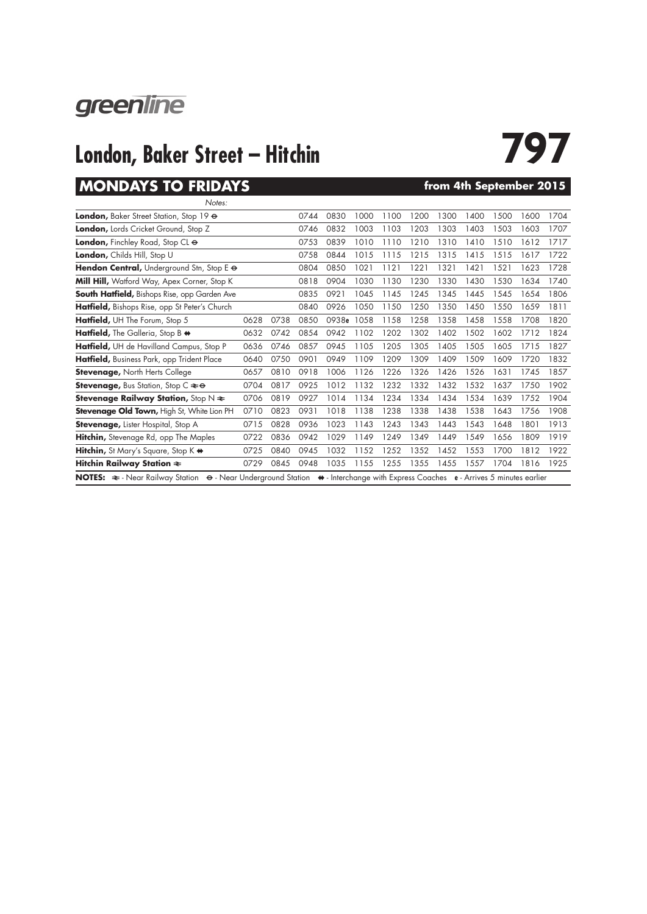

## **London, Baker Street – Hitchin 797**

## **MONDAYS TO FRIDAYS**

| from 4th September 2015 |  |
|-------------------------|--|
|-------------------------|--|

| Notes:                                                                                                                          |      |      |      |       |      |      |      |      |      |      |      |      |
|---------------------------------------------------------------------------------------------------------------------------------|------|------|------|-------|------|------|------|------|------|------|------|------|
| London, Baker Street Station, Stop 19 &                                                                                         |      |      | 0744 | 0830  | 1000 | 1100 | 1200 | 1300 | 1400 | 1500 | 1600 | 1704 |
| <b>London,</b> Lords Cricket Ground, Stop Z                                                                                     |      |      | 0746 | 0832  | 1003 | 1103 | 1203 | 1303 | 1403 | 1503 | 1603 | 1707 |
| <b>London,</b> Finchley Road, Stop CL $\Theta$                                                                                  |      |      | 0753 | 0839  | 1010 | 1110 | 1210 | 1310 | 1410 | 1510 | 1612 | 1717 |
| London, Childs Hill, Stop U                                                                                                     |      |      | 0758 | 0844  | 1015 | 1115 | 1215 | 1315 | 1415 | 1515 | 1617 | 1722 |
| <b>Hendon Central, Underground Stn, Stop E <math>\Theta</math></b>                                                              |      |      | 0804 | 0850  | 1021 | 1121 | 1221 | 1321 | 1421 | 1521 | 1623 | 1728 |
| Mill Hill, Watford Way, Apex Corner, Stop K                                                                                     |      |      | 0818 | 0904  | 1030 | 1130 | 1230 | 1330 | 1430 | 1530 | 1634 | 1740 |
| <b>South Hatfield, Bishops Rise, opp Garden Ave</b>                                                                             |      |      | 0835 | 0921  | 1045 | 1145 | 1245 | 1345 | 1445 | 1545 | 1654 | 1806 |
| <b>Hatfield,</b> Bishops Rise, opp St Peter's Church                                                                            |      |      | 0840 | 0926  | 1050 | 1150 | 1250 | 1350 | 1450 | 1550 | 1659 | 1811 |
| Hatfield, UH The Forum, Stop 5                                                                                                  | 0628 | 0738 | 0850 | 0938e | 1058 | 1158 | 1258 | 1358 | 1458 | 1558 | 1708 | 1820 |
| <b>Hatfield,</b> The Galleria, Stop B $\leftrightarrow$                                                                         | 0632 | 0742 | 0854 | 0942  | 1102 | 1202 | 1302 | 1402 | 1502 | 1602 | 1712 | 1824 |
| Hatfield, UH de Havilland Campus, Stop P                                                                                        | 0636 | 0746 | 0857 | 0945  | 1105 | 1205 | 1305 | 1405 | 1505 | 1605 | 1715 | 1827 |
| <b>Hatfield,</b> Business Park, opp Trident Place                                                                               | 0640 | 0750 | 0901 | 0949  | 1109 | 1209 | 1309 | 1409 | 1509 | 1609 | 1720 | 1832 |
| <b>Stevenage, North Herts College</b>                                                                                           | 0657 | 0810 | 0918 | 1006  | 1126 | 1226 | 1326 | 1426 | 1526 | 1631 | 1745 | 1857 |
| <b>Stevenage, Bus Station, Stop C <math>\approx \Theta</math></b>                                                               | 0704 | 0817 | 0925 | 1012  | 1132 | 1232 | 1332 | 1432 | 1532 | 1637 | 1750 | 1902 |
| <b>Stevenage Railway Station, Stop N <math>\neq</math></b>                                                                      | 0706 | 0819 | 0927 | 1014  | 1134 | 1234 | 1334 | 1434 | 1534 | 1639 | 1752 | 1904 |
| <b>Stevenage Old Town, High St, White Lion PH</b>                                                                               | 0710 | 0823 | 0931 | 1018  | 1138 | 1238 | 1338 | 1438 | 1538 | 1643 | 1756 | 1908 |
| <b>Stevenage, Lister Hospital, Stop A</b>                                                                                       | 0715 | 0828 | 0936 | 1023  | 1143 | 1243 | 1343 | 1443 | 1543 | 1648 | 1801 | 1913 |
| <b>Hitchin,</b> Stevenage Rd, opp The Maples                                                                                    | 0722 | 0836 | 0942 | 1029  | 1149 | 1249 | 1349 | 1449 | 1549 | 1656 | 1809 | 1919 |
| <b>Hitchin,</b> St Mary's Square, Stop K $\leftrightarrow$                                                                      | 0725 | 0840 | 0945 | 1032  | 1152 | 1252 | 1352 | 1452 | 1553 | 1700 | 1812 | 1922 |
| Hitchin Railway Station ₹                                                                                                       | 0729 | 0845 | 0948 | 1035  | 1155 | 1255 | 1355 | 1455 | 1557 | 1704 | 1816 | 1925 |
| NOTES: ≥- Near Railway Station  ⊖- Near Underground Station  →- Interchange with Express Coaches  e - Arrives 5 minutes earlier |      |      |      |       |      |      |      |      |      |      |      |      |